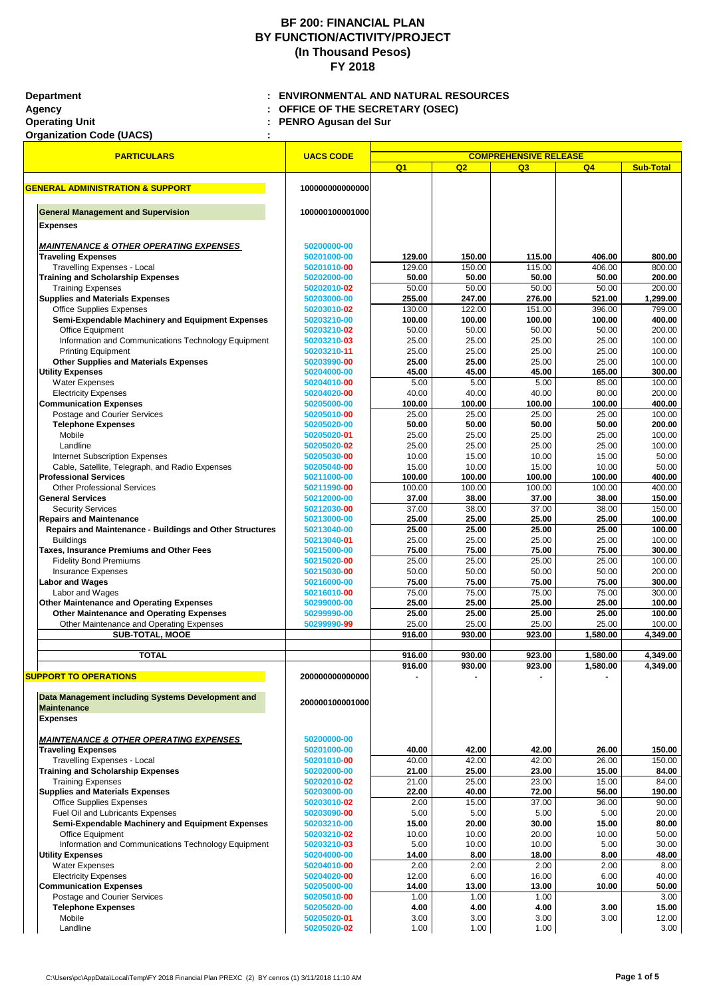<u> 1989 - Johann Johann Barn, marwolaethau (m. 1989)</u>

**Operating Unit : PENRO Agusan del Sur**

T

| <b>Organization Code (UACS)</b> |
|---------------------------------|
|---------------------------------|

| <b>PARTICULARS</b>                                                                       | <b>UACS CODE</b>           | <b>COMPREHENSIVE RELEASE</b> |                  |                  |                   |                    |  |
|------------------------------------------------------------------------------------------|----------------------------|------------------------------|------------------|------------------|-------------------|--------------------|--|
|                                                                                          |                            | Q <sub>1</sub>               | Q2               | Q3               | Q <sub>4</sub>    | <b>Sub-Total</b>   |  |
| <b>GENERAL ADMINISTRATION &amp; SUPPORT</b>                                              | 100000000000000            |                              |                  |                  |                   |                    |  |
|                                                                                          |                            |                              |                  |                  |                   |                    |  |
| <b>General Management and Supervision</b>                                                | 100000100001000            |                              |                  |                  |                   |                    |  |
| <b>Expenses</b>                                                                          |                            |                              |                  |                  |                   |                    |  |
|                                                                                          |                            |                              |                  |                  |                   |                    |  |
| <b>MAINTENANCE &amp; OTHER OPERATING EXPENSES</b>                                        | 50200000-00                |                              |                  |                  |                   |                    |  |
| <b>Traveling Expenses</b><br><b>Travelling Expenses - Local</b>                          | 50201000-00<br>50201010-00 | 129.00<br>129.00             | 150.00<br>150.00 | 115.00<br>115.00 | 406.00<br>406.00  | 800.00<br>800.00   |  |
| <b>Training and Scholarship Expenses</b>                                                 | 50202000-00                | 50.00                        | 50.00            | 50.00            | 50.00             | 200.00             |  |
| <b>Training Expenses</b>                                                                 | 50202010-02                | 50.00                        | 50.00            | 50.00            | 50.00             | 200.00             |  |
| <b>Supplies and Materials Expenses</b>                                                   | 50203000-00                | 255.00                       | 247.00           | 276.00           | 521.00            | 1,299.00           |  |
| <b>Office Supplies Expenses</b>                                                          | 50203010-02                | 130.00                       | 122.00           | 151.00           | 396.00            | 799.00             |  |
| Semi-Expendable Machinery and Equipment Expenses                                         | 50203210-00                | 100.00                       | 100.00           | 100.00           | 100.00            | 400.00             |  |
| Office Equipment                                                                         | 50203210-02                | 50.00                        | 50.00            | 50.00            | 50.00             | 200.00             |  |
| Information and Communications Technology Equipment                                      | 50203210-03                | 25.00                        | 25.00            | 25.00            | 25.00             | 100.00             |  |
| <b>Printing Equipment</b><br><b>Other Supplies and Materials Expenses</b>                | 50203210-11<br>50203990-00 | 25.00<br>25.00               | 25.00<br>25.00   | 25.00<br>25.00   | 25.00<br>25.00    | 100.00<br>100.00   |  |
| <b>Utility Expenses</b>                                                                  | 50204000-00                | 45.00                        | 45.00            | 45.00            | 165.00            | 300.00             |  |
| <b>Water Expenses</b>                                                                    | 50204010-00                | 5.00                         | 5.00             | 5.00             | 85.00             | 100.00             |  |
| <b>Electricity Expenses</b>                                                              | 50204020-00                | 40.00                        | 40.00            | 40.00            | 80.00             | 200.00             |  |
| <b>Communication Expenses</b>                                                            | 50205000-00                | 100.00                       | 100.00           | 100.00           | 100.00            | 400.00             |  |
| Postage and Courier Services                                                             | 50205010-00                | 25.00                        | 25.00            | 25.00            | 25.00             | 100.00             |  |
| <b>Telephone Expenses</b>                                                                | 50205020-00                | 50.00                        | 50.00            | 50.00            | 50.00             | 200.00             |  |
| Mobile                                                                                   | 50205020-01                | 25.00                        | 25.00            | 25.00            | 25.00             | 100.00             |  |
| Landline                                                                                 | 50205020-02                | 25.00                        | 25.00            | 25.00            | 25.00             | 100.00             |  |
| <b>Internet Subscription Expenses</b><br>Cable, Satellite, Telegraph, and Radio Expenses | 50205030-00<br>50205040-00 | 10.00<br>15.00               | 15.00<br>10.00   | 10.00<br>15.00   | 15.00<br>10.00    | 50.00<br>50.00     |  |
| <b>Professional Services</b>                                                             | 50211000-00                | 100.00                       | 100.00           | 100.00           | 100.00            | 400.00             |  |
| <b>Other Professional Services</b>                                                       | 50211990-00                | 100.00                       | 100.00           | 100.00           | 100.00            | 400.00             |  |
| <b>General Services</b>                                                                  | 50212000-00                | 37.00                        | 38.00            | 37.00            | 38.00             | 150.00             |  |
| <b>Security Services</b>                                                                 | 50212030-00                | 37.00                        | 38.00            | 37.00            | 38.00             | 150.00             |  |
| <b>Repairs and Maintenance</b>                                                           | 50213000-00                | 25.00                        | 25.00            | 25.00            | 25.00             | 100.00             |  |
| <b>Repairs and Maintenance - Buildings and Other Structures</b>                          | 50213040-00                | 25.00                        | 25.00            | 25.00            | 25.00             | 100.00             |  |
| <b>Buildings</b><br><b>Taxes, Insurance Premiums and Other Fees</b>                      | 50213040-01<br>50215000-00 | 25.00<br>75.00               | 25.00<br>75.00   | 25.00<br>75.00   | 25.00<br>75.00    | 100.00<br>300.00   |  |
| <b>Fidelity Bond Premiums</b>                                                            | 50215020-00                | 25.00                        | 25.00            | 25.00            | 25.00             | 100.00             |  |
| <b>Insurance Expenses</b>                                                                | 50215030-00                | 50.00                        | 50.00            | 50.00            | 50.00             | 200.00             |  |
| <b>Labor and Wages</b>                                                                   | 50216000-00                | 75.00                        | 75.00            | 75.00            | 75.00             | 300.00             |  |
| Labor and Wages                                                                          | 50216010-00                | 75.00                        | 75.00            | 75.00            | 75.00             | 300.00             |  |
| Other Maintenance and Operating Expenses                                                 | 50299000-00                | 25.00                        | 25.00            | 25.00            | 25.00             | 100.00             |  |
| <b>Other Maintenance and Operating Expenses</b>                                          | 50299990-00                | 25.00                        | 25.00            | 25.00            | 25.00             | 100.00             |  |
| Other Maintenance and Operating Expenses<br><b>SUB-TOTAL, MOOE</b>                       | 50299990-99                | 25.00<br>916.00              | 25.00<br>930.00  | 25.00<br>923.00  | 25.00<br>1,580.00 | 100.00<br>4,349.00 |  |
|                                                                                          |                            |                              |                  |                  |                   |                    |  |
| <b>TOTAL</b>                                                                             |                            | 916.00                       | 930.00           | 923.00           | 1,580.00          | 4,349.00           |  |
|                                                                                          |                            | 916.00                       | 930.00           | 923.00           | 1,580.00          | 4,349.00           |  |
| <b>SUPPORT TO OPERATIONS</b>                                                             | 20000000000000             |                              |                  |                  |                   |                    |  |
| Data Management including Systems Development and                                        |                            |                              |                  |                  |                   |                    |  |
| <b>Maintenance</b>                                                                       | 200000100001000            |                              |                  |                  |                   |                    |  |
| <b>Expenses</b>                                                                          |                            |                              |                  |                  |                   |                    |  |
|                                                                                          |                            |                              |                  |                  |                   |                    |  |
| <b>MAINTENANCE &amp; OTHER OPERATING EXPENSES</b>                                        | 50200000-00                |                              |                  |                  |                   |                    |  |
| <b>Traveling Expenses</b>                                                                | 50201000-00                | 40.00                        | 42.00            | 42.00            | 26.00             | 150.00             |  |
| <b>Travelling Expenses - Local</b>                                                       | 50201010-00                | 40.00                        | 42.00            | 42.00            | 26.00             | 150.00             |  |
| <b>Training and Scholarship Expenses</b><br><b>Training Expenses</b>                     | 50202000-00<br>50202010-02 | 21.00<br>21.00               | 25.00<br>25.00   | 23.00<br>23.00   | 15.00<br>15.00    | 84.00<br>84.00     |  |
| <b>Supplies and Materials Expenses</b>                                                   | 50203000-00                | 22.00                        | 40.00            | 72.00            | 56.00             | 190.00             |  |
| <b>Office Supplies Expenses</b>                                                          | 50203010-02                | 2.00                         | 15.00            | 37.00            | 36.00             | 90.00              |  |
| <b>Fuel Oil and Lubricants Expenses</b>                                                  | 50203090-00                | 5.00                         | 5.00             | 5.00             | 5.00              | 20.00              |  |
| <b>Semi-Expendable Machinery and Equipment Expenses</b>                                  | 50203210-00                | 15.00                        | 20.00            | 30.00            | 15.00             | 80.00              |  |
| Office Equipment                                                                         | 50203210-02                | 10.00                        | 10.00            | 20.00            | 10.00             | 50.00              |  |
| Information and Communications Technology Equipment                                      | 50203210-03                | 5.00                         | 10.00            | 10.00            | 5.00              | 30.00              |  |
| <b>Utility Expenses</b>                                                                  | 50204000-00                | 14.00                        | 8.00             | 18.00            | 8.00              | 48.00              |  |
| <b>Water Expenses</b><br><b>Electricity Expenses</b>                                     | 50204010-00<br>50204020-00 | 2.00<br>12.00                | 2.00<br>6.00     | 2.00<br>16.00    | 2.00<br>6.00      | 8.00<br>40.00      |  |
| <b>Communication Expenses</b>                                                            | 50205000-00                | 14.00                        | 13.00            | 13.00            | 10.00             | 50.00              |  |
| Postage and Courier Services                                                             | 50205010-00                | 1.00                         | 1.00             | 1.00             |                   | 3.00               |  |
| <b>Telephone Expenses</b>                                                                | 50205020-00                | 4.00                         | 4.00             | 4.00             | 3.00              | 15.00              |  |
| Mobile                                                                                   | 50205020-01                | 3.00                         | 3.00             | 3.00             | 3.00              | 12.00              |  |
| Landline                                                                                 | 50205020-02                | 1.00                         | 1.00             | 1.00             |                   | 3.00               |  |

# **BF 200: FINANCIAL PLAN BY FUNCTION/ACTIVITY/PROJECT (In Thousand Pesos) FY 2018**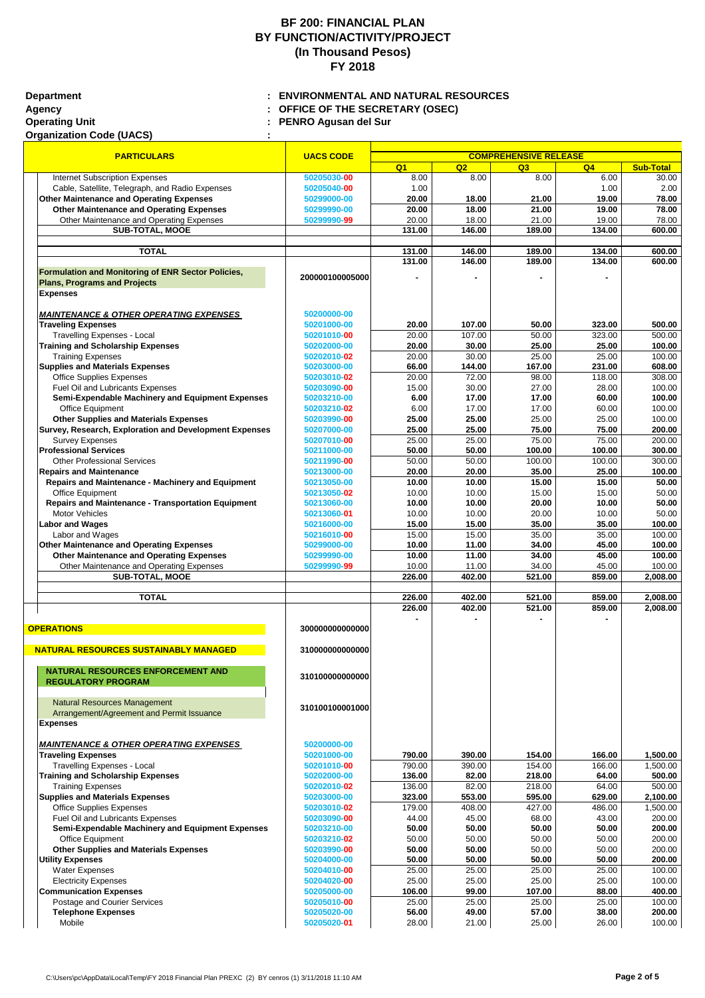**Operating Unit : PENRO Agusan del Sur**

# **BF 200: FINANCIAL PLAN BY FUNCTION/ACTIVITY/PROJECT (In Thousand Pesos) FY 2018**

| <b>PARTICULARS</b>                                                               | <b>UACS CODE</b> | <b>COMPREHENSIVE RELEASE</b> |        |        |        |                  |  |
|----------------------------------------------------------------------------------|------------------|------------------------------|--------|--------|--------|------------------|--|
|                                                                                  |                  | Q <sub>1</sub>               | Q2     | Q3     | Q4     | <b>Sub-Total</b> |  |
| <b>Internet Subscription Expenses</b>                                            | 50205030-00      | 8.00                         | 8.00   | 8.00   | 6.00   | 30.00            |  |
| Cable, Satellite, Telegraph, and Radio Expenses                                  | 50205040-00      | 1.00                         |        |        | 1.00   | 2.00             |  |
| <b>Other Maintenance and Operating Expenses</b>                                  | 50299000-00      | 20.00                        | 18.00  | 21.00  | 19.00  | 78.00            |  |
| <b>Other Maintenance and Operating Expenses</b>                                  | 50299990-00      | 20.00                        | 18.00  | 21.00  | 19.00  | 78.00            |  |
| Other Maintenance and Operating Expenses                                         | 50299990-99      | 20.00                        | 18.00  | 21.00  | 19.00  | 78.00            |  |
| <b>SUB-TOTAL, MOOE</b>                                                           |                  | 131.00                       | 146.00 | 189.00 | 134.00 | 600.00           |  |
|                                                                                  |                  |                              |        |        |        |                  |  |
| <b>TOTAL</b>                                                                     |                  | 131.00                       | 146.00 | 189.00 | 134.00 | 600.00           |  |
|                                                                                  |                  | 131.00                       | 146.00 | 189.00 | 134.00 | 600.00           |  |
| <b>Formulation and Monitoring of ENR Sector Policies,</b>                        | 200000100005000  |                              |        |        |        |                  |  |
| <b>Plans, Programs and Projects</b>                                              |                  |                              |        |        |        |                  |  |
| <b>Expenses</b>                                                                  |                  |                              |        |        |        |                  |  |
| <b>MAINTENANCE &amp; OTHER OPERATING EXPENSES</b>                                | 50200000-00      |                              |        |        |        |                  |  |
| <b>Traveling Expenses</b>                                                        | 50201000-00      | 20.00                        | 107.00 | 50.00  | 323.00 | 500.00           |  |
|                                                                                  |                  | 20.00                        | 107.00 | 50.00  | 323.00 | 500.00           |  |
| <b>Travelling Expenses - Local</b>                                               | 50201010-00      |                              |        |        |        |                  |  |
| <b>Training and Scholarship Expenses</b>                                         | 50202000-00      | 20.00                        | 30.00  | 25.00  | 25.00  | 100.00           |  |
| <b>Training Expenses</b>                                                         | 50202010-02      | 20.00                        | 30.00  | 25.00  | 25.00  | 100.00           |  |
| <b>Supplies and Materials Expenses</b>                                           | 50203000-00      | 66.00                        | 144.00 | 167.00 | 231.00 | 608.00           |  |
| <b>Office Supplies Expenses</b>                                                  | 50203010-02      | 20.00                        | 72.00  | 98.00  | 118.00 | 308.00           |  |
| Fuel Oil and Lubricants Expenses                                                 | 50203090-00      | 15.00                        | 30.00  | 27.00  | 28.00  | 100.00           |  |
| Semi-Expendable Machinery and Equipment Expenses                                 | 50203210-00      | 6.00                         | 17.00  | 17.00  | 60.00  | 100.00           |  |
| <b>Office Equipment</b>                                                          | 50203210-02      | 6.00                         | 17.00  | 17.00  | 60.00  | 100.00           |  |
| <b>Other Supplies and Materials Expenses</b>                                     | 50203990-00      | 25.00                        | 25.00  | 25.00  | 25.00  | 100.00           |  |
| <b>Survey, Research, Exploration and Development Expenses</b>                    | 50207000-00      | 25.00                        | 25.00  | 75.00  | 75.00  | 200.00           |  |
| <b>Survey Expenses</b>                                                           | 50207010-00      | 25.00                        | 25.00  | 75.00  | 75.00  | 200.00           |  |
| <b>Professional Services</b>                                                     | 50211000-00      | 50.00                        | 50.00  | 100.00 | 100.00 | 300.00           |  |
| <b>Other Professional Services</b>                                               | 50211990-00      | 50.00                        | 50.00  | 100.00 | 100.00 | 300.00           |  |
| <b>Repairs and Maintenance</b>                                                   | 50213000-00      | 20.00                        | 20.00  | 35.00  | 25.00  | 100.00           |  |
| <b>Repairs and Maintenance - Machinery and Equipment</b>                         | 50213050-00      | 10.00                        | 10.00  | 15.00  | 15.00  | 50.00            |  |
| <b>Office Equipment</b>                                                          | 50213050-02      | 10.00                        | 10.00  | 15.00  | 15.00  | 50.00            |  |
| <b>Repairs and Maintenance - Transportation Equipment</b>                        | 50213060-00      | 10.00                        | 10.00  | 20.00  | 10.00  | 50.00            |  |
| <b>Motor Vehicles</b>                                                            | 50213060-01      | 10.00                        | 10.00  | 20.00  | 10.00  | 50.00            |  |
| <b>Labor and Wages</b>                                                           | 50216000-00      | 15.00                        | 15.00  | 35.00  | 35.00  | 100.00           |  |
| Labor and Wages                                                                  | 50216010-00      | 15.00                        | 15.00  | 35.00  | 35.00  | 100.00           |  |
| Other Maintenance and Operating Expenses                                         | 50299000-00      | 10.00                        | 11.00  | 34.00  | 45.00  | 100.00           |  |
| <b>Other Maintenance and Operating Expenses</b>                                  | 50299990-00      | 10.00                        | 11.00  | 34.00  | 45.00  | 100.00           |  |
| Other Maintenance and Operating Expenses                                         | 50299990-99      | 10.00                        | 11.00  | 34.00  | 45.00  | 100.00           |  |
| <b>SUB-TOTAL, MOOE</b>                                                           |                  | 226.00                       | 402.00 | 521.00 | 859.00 | 2,008.00         |  |
|                                                                                  |                  |                              |        |        |        |                  |  |
| <b>TOTAL</b>                                                                     |                  | 226.00                       | 402.00 | 521.00 | 859.00 | 2,008.00         |  |
|                                                                                  |                  | 226.00                       | 402.00 | 521.00 | 859.00 | 2,008.00         |  |
|                                                                                  |                  |                              |        |        |        |                  |  |
| <b>OPERATIONS</b>                                                                | 300000000000000  |                              |        |        |        |                  |  |
| <b>NATURAL RESOURCES SUSTAINABLY MANAGED</b>                                     | 310000000000000  |                              |        |        |        |                  |  |
|                                                                                  |                  |                              |        |        |        |                  |  |
| NATURAL RESOURCES ENFORCEMENT AND                                                |                  |                              |        |        |        |                  |  |
| <b>REGULATORY PROGRAM</b>                                                        | 310100000000000  |                              |        |        |        |                  |  |
|                                                                                  |                  |                              |        |        |        |                  |  |
|                                                                                  |                  |                              |        |        |        |                  |  |
|                                                                                  |                  |                              |        |        |        |                  |  |
| <b>Natural Resources Management</b><br>Arrangement/Agreement and Permit Issuance | 310100100001000  |                              |        |        |        |                  |  |

**MAINTENANCE & OTHER OPERATING EXPENSES** 50200000-00

| <b>Traveling Expenses</b>                    |
|----------------------------------------------|
| <b>Travelling Expenses - Local</b>           |
| <b>Training and Scholarship Expenses</b>     |
| <b>Training Expenses</b>                     |
| <b>Supplies and Materials Expenses</b>       |
| <b>Office Supplies Expenses</b>              |
| <b>Fuel Oil and Lubricants Expenses</b>      |
| Semi-Expendable Machinery and Equipment Ex   |
| <b>Office Equipment</b>                      |
| <b>Other Supplies and Materials Expenses</b> |
| <b>Utility Expenses</b>                      |
| <b>Water Expenses</b>                        |
| <b>Electricity Expenses</b>                  |
| <b>Communication Expenses</b>                |
| Postage and Courier Services                 |
| <b>Telephone Expenses</b>                    |
| Mobile                                       |
|                                              |

| <b>Traveling Expenses</b>                               | 50201000-00 | 790.00 | 390.00 | 154.00 | 166.00 | 1,500.00 |
|---------------------------------------------------------|-------------|--------|--------|--------|--------|----------|
| <b>Travelling Expenses - Local</b>                      | 50201010-00 | 790.00 | 390.00 | 154.00 | 166.00 | 1,500.00 |
| <b>Training and Scholarship Expenses</b>                | 50202000-00 | 136.00 | 82.00  | 218.00 | 64.00  | 500.00   |
| <b>Training Expenses</b>                                | 50202010-02 | 136.00 | 82.00  | 218.00 | 64.00  | 500.00   |
| <b>Supplies and Materials Expenses</b>                  | 50203000-00 | 323.00 | 553.00 | 595.00 | 629.00 | 2,100.00 |
| <b>Office Supplies Expenses</b>                         | 50203010-02 | 179.00 | 408.00 | 427.00 | 486.00 | 1,500.00 |
| <b>Fuel Oil and Lubricants Expenses</b>                 | 50203090-00 | 44.00  | 45.00  | 68.00  | 43.00  | 200.00   |
| <b>Semi-Expendable Machinery and Equipment Expenses</b> | 50203210-00 | 50.00  | 50.00  | 50.00  | 50.00  | 200.00   |
| <b>Office Equipment</b>                                 | 50203210-02 | 50.00  | 50.00  | 50.00  | 50.00  | 200.00   |
| <b>Other Supplies and Materials Expenses</b>            | 50203990-00 | 50.00  | 50.00  | 50.00  | 50.00  | 200.00   |
| <b>Utility Expenses</b>                                 | 50204000-00 | 50.00  | 50.00  | 50.00  | 50.00  | 200.00   |
| <b>Water Expenses</b>                                   | 50204010-00 | 25.00  | 25.00  | 25.00  | 25.00  | 100.00   |
| <b>Electricity Expenses</b>                             | 50204020-00 | 25.00  | 25.00  | 25.00  | 25.00  | 100.00   |
| <b>Communication Expenses</b>                           | 50205000-00 | 106.00 | 99.00  | 107.00 | 88.00  | 400.00   |
| Postage and Courier Services                            | 50205010-00 | 25.00  | 25.00  | 25.00  | 25.00  | 100.00   |
| <b>Telephone Expenses</b>                               | 50205020-00 | 56.00  | 49.00  | 57.00  | 38.00  | 200.00   |
| Mobile                                                  | 50205020-01 | 28.00  | 21.00  | 25.00  | 26.00  | 100.00   |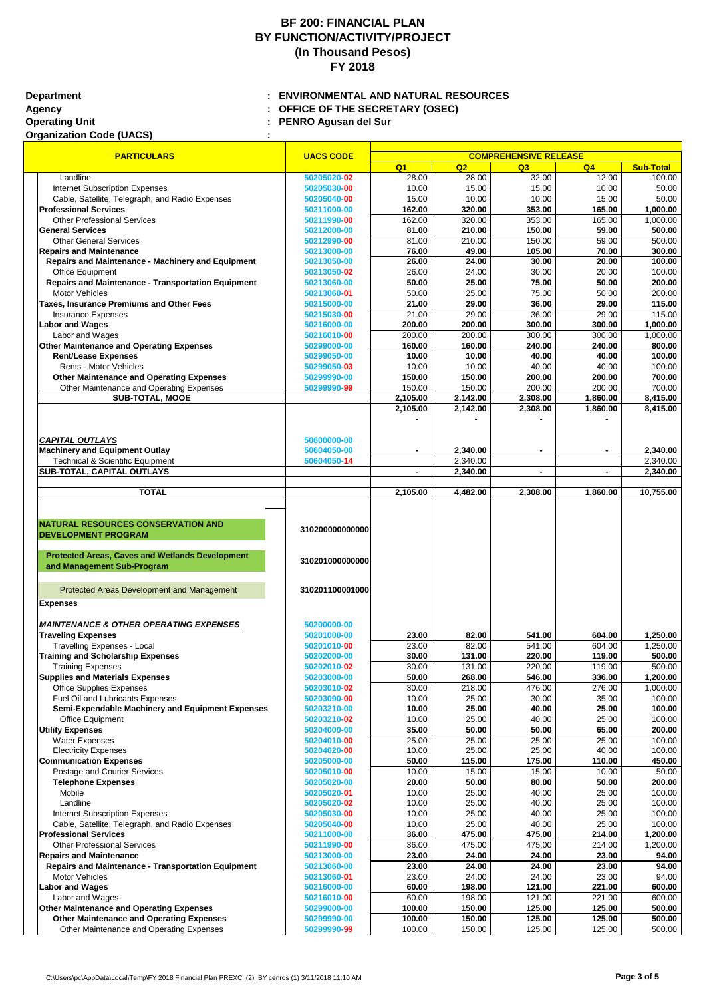**Operating Unit : PENRO Agusan del Sur**

# **Organization Code (UACS) :**

# **BF 200: FINANCIAL PLAN BY FUNCTION/ACTIVITY/PROJECT (In Thousand Pesos) FY 2018**

| <b>PARTICULARS</b>                                        | <b>UACS CODE</b> | <b>COMPREHENSIVE RELEASE</b> |          |          |          |                  |  |
|-----------------------------------------------------------|------------------|------------------------------|----------|----------|----------|------------------|--|
|                                                           |                  | Q <sub>1</sub>               | Q2       | Q3       | Q4       | <b>Sub-Total</b> |  |
| Landline                                                  | 50205020-02      | 28.00                        | 28.00    | 32.00    | 12.00    | 100.00           |  |
| <b>Internet Subscription Expenses</b>                     | 50205030-00      | 10.00                        | 15.00    | 15.00    | 10.00    | 50.00            |  |
| Cable, Satellite, Telegraph, and Radio Expenses           | 50205040-00      | 15.00                        | 10.00    | 10.00    | 15.00    | 50.00            |  |
| <b>Professional Services</b>                              | 50211000-00      | 162.00                       | 320.00   | 353.00   | 165.00   | 1,000.00         |  |
| <b>Other Professional Services</b>                        | 50211990-00      | 162.00                       | 320.00   | 353.00   | 165.00   | 1,000.00         |  |
| <b>General Services</b>                                   | 50212000-00      | 81.00                        | 210.00   | 150.00   | 59.00    | 500.00           |  |
| <b>Other General Services</b>                             | 50212990-00      | 81.00                        | 210.00   | 150.00   | 59.00    | 500.00           |  |
| <b>Repairs and Maintenance</b>                            | 50213000-00      | 76.00                        | 49.00    | 105.00   | 70.00    | 300.00           |  |
| <b>Repairs and Maintenance - Machinery and Equipment</b>  | 50213050-00      | 26.00                        | 24.00    | 30.00    | 20.00    | 100.00           |  |
| Office Equipment                                          | 50213050-02      | 26.00                        | 24.00    | 30.00    | 20.00    | 100.00           |  |
| <b>Repairs and Maintenance - Transportation Equipment</b> | 50213060-00      | 50.00                        | 25.00    | 75.00    | 50.00    | 200.00           |  |
| <b>Motor Vehicles</b>                                     | 50213060-01      | 50.00                        | 25.00    | 75.00    | 50.00    | 200.00           |  |
| <b>Taxes, Insurance Premiums and Other Fees</b>           | 50215000-00      | 21.00                        | 29.00    | 36.00    | 29.00    | 115.00           |  |
| <b>Insurance Expenses</b>                                 | 50215030-00      | 21.00                        | 29.00    | 36.00    | 29.00    | 115.00           |  |
| <b>Labor and Wages</b>                                    | 50216000-00      | 200.00                       | 200.00   | 300.00   | 300.00   | 1,000.00         |  |
| Labor and Wages                                           | 50216010-00      | 200.00                       | 200.00   | 300.00   | 300.00   | 1,000.00         |  |
| Other Maintenance and Operating Expenses                  | 50299000-00      | 160.00                       | 160.00   | 240.00   | 240.00   | 800.00           |  |
| <b>Rent/Lease Expenses</b>                                | 50299050-00      | 10.00                        | 10.00    | 40.00    | 40.00    | 100.00           |  |
| Rents - Motor Vehicles                                    | 50299050-03      | 10.00                        | 10.00    | 40.00    | 40.00    | 100.00           |  |
| <b>Other Maintenance and Operating Expenses</b>           | 50299990-00      | 150.00                       | 150.00   | 200.00   | 200.00   | 700.00           |  |
| Other Maintenance and Operating Expenses                  | 50299990-99      | 150.00                       | 150.00   | 200.00   | 200.00   | 700.00           |  |
| <b>SUB-TOTAL, MOOE</b>                                    |                  | 2,105.00                     | 2,142.00 | 2,308.00 | 1,860.00 | 8,415.00         |  |
|                                                           |                  | 2,105.00                     | 2,142.00 | 2,308.00 | 1,860.00 | 8,415.00         |  |
|                                                           |                  |                              |          |          |          |                  |  |
|                                                           |                  |                              |          |          |          |                  |  |
| <b>CAPITAL OUTLAYS</b>                                    | 50600000-00      |                              |          |          |          |                  |  |
| <b>Machinery and Equipment Outlay</b>                     | 50604050-00      |                              | 2,340.00 |          |          | 2,340.00         |  |
| <b>Technical &amp; Scientific Equipment</b>               | 50604050-14      |                              | 2,340.00 |          |          | 2,340.00         |  |
| <b>SUB-TOTAL, CAPITAL OUTLAYS</b>                         |                  |                              | 2,340.00 |          |          | 2,340.00         |  |
|                                                           |                  |                              |          |          |          |                  |  |
| <b>TOTAL</b>                                              |                  | 2,105.00                     | 4,482.00 | 2,308.00 | 1,860.00 | 10,755.00        |  |
|                                                           |                  |                              |          |          |          |                  |  |
| <b>NATURAL RESOURCES CONSERVATION AND</b>                 | 310200000000000  |                              |          |          |          |                  |  |
| <b>DEVELOPMENT PROGRAM</b>                                |                  |                              |          |          |          |                  |  |
| <b>Protected Areas, Caves and Wetlands Development</b>    |                  |                              |          |          |          |                  |  |
| and Management Sub-Program                                | 310201000000000  |                              |          |          |          |                  |  |
| Protected Areas Development and Management                | 310201100001000  |                              |          |          |          |                  |  |
| <b>Expenses</b>                                           |                  |                              |          |          |          |                  |  |
| <b>MAINTENANCE &amp; OTHER OPERATING EXPENSES</b>         | 50200000-00      |                              |          |          |          |                  |  |
| <b>Traveling Expenses</b>                                 | 50201000-00      | 23.00                        | 82.00    | 541.00   | 604.00   | 1,250.00         |  |
| <b>Travelling Expenses - Local</b>                        | 50201010-00      | 23.00                        | 82.00    | 541.00   | 604.00   | 1,250.00         |  |
| <b>Training and Scholarship Expenses</b>                  | 50202000-00      | 30.00                        | 131.00   | 220.00   | 119.00   | 500.00           |  |
| <b>Training Expenses</b>                                  | 50202010-02      | 30.00                        | 131.00   | 220.00   | 119.00   | 500.00           |  |
| <b>Supplies and Materials Expenses</b>                    | 50203000-00      | 50.00                        | 268.00   | 546.00   | 336.00   | 1,200.00         |  |
| <b>Office Supplies Expenses</b>                           | 50203010-02      | 30.00                        | 218.00   | 476.00   | 276.00   | 1,000.00         |  |
| Fuel Oil and Lubricants Expenses                          | 50203090-00      | 10.00                        | 25.00    | 30.00    | 35.00    | 100.00           |  |
| <b>Semi-Expendable Machinery and Equipment Expenses</b>   | 50203210-00      | 10.00                        | 25.00    | 40.00    | 25.00    | 100.00           |  |
|                                                           |                  |                              |          |          |          | 100.00           |  |
| Office Equipment                                          | 50203210-02      | 10.00                        | 25.00    | 40.00    | 25.00    |                  |  |

**Utility Expenses 50204000-00 35.00 50.00 50.00 65.00 50.00** 65.00 200.00 200.00 200.00 200.00 1100.00 1100.00

| <b>Water Expenses</b>                                     | 50204010-00 | 25.00  | 25.00  | 25.00  | 25.00  | 100.00   |
|-----------------------------------------------------------|-------------|--------|--------|--------|--------|----------|
| <b>Electricity Expenses</b>                               | 50204020-00 | 10.00  | 25.00  | 25.00  | 40.00  | 100.00   |
| <b>Communication Expenses</b>                             | 50205000-00 | 50.00  | 115.00 | 175.00 | 110.00 | 450.00   |
| Postage and Courier Services                              | 50205010-00 | 10.00  | 15.00  | 15.00  | 10.00  | 50.00    |
| <b>Telephone Expenses</b>                                 | 50205020-00 | 20.00  | 50.00  | 80.00  | 50.00  | 200.00   |
| Mobile                                                    | 50205020-01 | 10.00  | 25.00  | 40.00  | 25.00  | 100.00   |
| Landline                                                  | 50205020-02 | 10.00  | 25.00  | 40.00  | 25.00  | 100.00   |
| <b>Internet Subscription Expenses</b>                     | 50205030-00 | 10.00  | 25.00  | 40.00  | 25.00  | 100.00   |
| Cable, Satellite, Telegraph, and Radio Expenses           | 50205040-00 | 10.00  | 25.00  | 40.00  | 25.00  | 100.00   |
| <b>Professional Services</b>                              | 50211000-00 | 36.00  | 475.00 | 475.00 | 214.00 | 1,200.00 |
| <b>Other Professional Services</b>                        | 50211990-00 | 36.00  | 475.00 | 475.00 | 214.00 | 200.00,  |
| <b>Repairs and Maintenance</b>                            | 50213000-00 | 23.00  | 24.00  | 24.00  | 23.00  | 94.00    |
| <b>Repairs and Maintenance - Transportation Equipment</b> | 50213060-00 | 23.00  | 24.00  | 24.00  | 23.00  | 94.00    |
| <b>Motor Vehicles</b>                                     | 50213060-01 | 23.00  | 24.00  | 24.00  | 23.00  | 94.00    |
| <b>Labor and Wages</b>                                    | 50216000-00 | 60.00  | 198.00 | 121.00 | 221.00 | 600.00   |
| Labor and Wages                                           | 50216010-00 | 60.00  | 198.00 | 121.00 | 221.00 | 600.00   |
| <b>Other Maintenance and Operating Expenses</b>           | 50299000-00 | 100.00 | 150.00 | 125.00 | 125.00 | 500.00   |
| <b>Other Maintenance and Operating Expenses</b>           | 50299990-00 | 100.00 | 150.00 | 125.00 | 125.00 | 500.00   |
| Other Maintenance and Operating Expenses                  | 50299990-99 | 100.00 | 150.00 | 125.00 | 125.00 | 500.00   |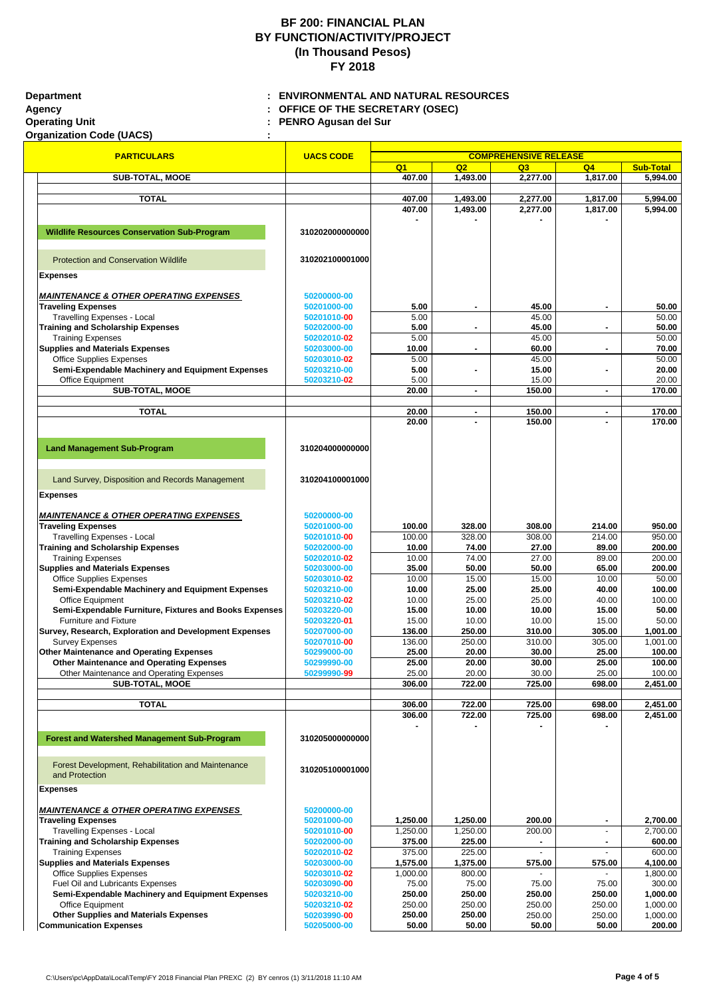## **Department : ENVIRONMENTAL AND NATURAL RESOURCES Agency : OFFICE OF THE SECRETARY (OSEC) Operating Unit : PENRO Agusan del Sur**

**Organization Code (UACS) :** 

# **BF 200: FINANCIAL PLAN BY FUNCTION/ACTIVITY/PROJECT (In Thousand Pesos) FY 2018**

**Q1 Q2 Q3 Q4 Sub-Total COMPREHENSIVE RELEASE PARTICULARS UACS CODE SUB-TOTAL, MOOE 1,493.00 1,493.00 1,493.00 1,493.00 1,817.00 5,994.00 TOTAL 407.00 1,493.00 2,277.00 1,817.00 5,994.00 407.00 1,493.00 2,277.00 1,817.00 5,994.00 - - - - Wildlife Resources Conservation Sub-Program 310202000000000** Protection and Conservation Wildlife **310202100001000 Expenses** *MAINTENANCE & OTHER OPERATING EXPENSES* **50200000-00 Traveling Expenses 50201000-00 5.00 - 45.00 - 50.00** Travelling Expenses - Local **50201010-00**  $\vert$  50201010-00 5.00 50.00 50.00 **Training and Scholarship Expenses 50.00 50202000-00 50.00 5.00 1 5.00 1 1 1 45.00 1 1 1 1 50.00** Training Expenses **60.00 50.00 50.00 50.00 50.00 50.00 50.00 50.00 50.00 50.00 50.00 Supplies and Materials Expenses 10.00 10.00 <b>10.00 10.00 10.00 10.00 10.00 10.00 10.00 10.00 10.00 10.00 10.00 10.00 10.00 10.00 10.00 10.00 10.00 10.00 10.00 10.00 10.00 10.0** Office Supplies Expenses **50.00** 50.00 **50.00** 50.00 **50.00** 50.00 **50.00** 50.00 **Semi-Expendable Machinery and Equipment Expenses 50203210-00 5.00 - 15.00 - 20.00** Office Equipment **50203210-02** 5.00 15.00 20.00 **SUB-TOTAL, MOOE 20.00 - 150.00 TOTAL 20.00 - 150.00 - 170.00 20.00 - 150.00 - 170.00 Land Management Sub-Program 310204000000000** Land Survey, Disposition and Records Management **310204100001000 Expenses** *MAINTENANCE & OTHER OPERATING EXPENSES* **50200000-00 Traveling Expenses 100.00 100.00 100.00 100.00 100.00 100.00 100.00 328.00 308.00 214.00 214.00 950.00** Travelling Expenses - Local **50201010-00** 100.00 328.00 308.00 214.00 950.00 **Training and Scholarship Expenses 10.00 10.00 10.00 10.00 10.00** 174.00 **27.00** 27.00 **89.00** 200.00 Training Expenses **50202010-02** 10.00 74.00 27.00 89.00 200.00 **Supplies and Materials Expenses 50203000-00 35.00 50.00 50.00 65.00 200.00** Office Supplies Expenses **50.00** 15.00 **15.00** 15.00 **15.00** 15.00 **10.00** 10.00 **10.00** 16.00 **10.00** 10.00 **10.00 Semi-Expendable Machinery and Equipment Expenses 50203210-00 10.00 25.00 25.00 40.00 100.00** Office Equipment **50203210-02** 10.00 25.00 25.00 40.00 100.00 **Semi-Expendable Furniture, Fixtures and Books Expenses 50203220-00 15.00 10.00 10.00 15.00 50.00** Furniture and Fixture **50203220-01** 15.00 10.00 10.00 15.00 50.00 **Survey, Research, Exploration and Development Expenses 50207000-00 136.00 250.00 310.00 305.00 1,001.00** Survey Expenses **50207010-00** 136.00 250.00 310.00 305.00 1,001.00 **Other Maintenance and Operating Expenses 1988 100.00 100.00 100.00 25.00 20.00 20.00 25.00 25.00 25.00 100.00 Other Maintenance and Operating Expenses 1 20299990-00 25.00 25.00 20.00 20.00** 30.00 25.00 25.00 100.00 Other Maintenance and Operating Expenses **50299990-99** 25.00 25.00 20.00 30.00 25.00 25.00 25.00 100.00 **SUB-TOTAL, MOOE 306.00 722.00 725.00 698.00 2,451.00 TOTAL 306.00 722.00 725.00 698.00 2,451.00 306.00 722.00 725.00 698.00 2,451.00 - - - - Forest and Watershed Management Sub-Program 310205000000000**

**Expenses**

### **MAINTENANCE & OTHER OPERATING EXPENSES 1998 1998**

**Traveling Expenses 1,250.000 1,250.000 1,250.000 1,250.00 1,250.00 1,250.00 1,250.00 1,250.00 1,250.00 1,250.00** Travelling Expenses - Local **5020 Training and Scholarship Expenses 1 3020** 

### **Supplies and Materials Expenses 1,300.000 1,300.00 1,375.00 1,375.00 1,375.00 1,375.00 1,375.00 5020 1,400.000 4,100.000 1,375.00 1,375.00 1,375.00 1,375.00 1,375.00 1,375.00 1,375.00 1,375.00 1,375.00 1,400.000 1,400.0**

**Communication Expenses 5020** 

| <b>Forest Development, Rehabilitation and Maintenance</b><br>and Protection | 310205100001000 |          |          |        |        |          |
|-----------------------------------------------------------------------------|-----------------|----------|----------|--------|--------|----------|
| enses                                                                       |                 |          |          |        |        |          |
| <b>INTENANCE &amp; OTHER OPERATING EXPENSES</b>                             | 50200000-00     |          |          |        |        |          |
| veling Expenses                                                             | 50201000-00     | 1,250.00 | 1,250.00 | 200.00 |        | 2,700.00 |
| <b>Travelling Expenses - Local</b>                                          | 50201010-00     | 1,250.00 | 1,250.00 | 200.00 |        | 2,700.00 |
| ining and Scholarship Expenses                                              | 50202000-00     | 375.00   | 225.00   |        |        | 600.00   |
| <b>Training Expenses</b>                                                    | 50202010-02     | 375.00   | 225.00   |        |        | 600.00   |
| pplies and Materials Expenses                                               | 50203000-00     | 1,575.00 | 1,375.00 | 575.00 | 575.00 | 4,100.00 |
| <b>Office Supplies Expenses</b>                                             | 50203010-02     | 1,000.00 | 800.00   |        |        | 1,800.00 |
| <b>Fuel Oil and Lubricants Expenses</b>                                     | 50203090-00     | 75.00    | 75.00    | 75.00  | 75.00  | 300.00   |
| Semi-Expendable Machinery and Equipment Expenses                            | 50203210-00     | 250.00   | 250.00   | 250.00 | 250.00 | 1,000.00 |
| <b>Office Equipment</b>                                                     | 50203210-02     | 250.00   | 250.00   | 250.00 | 250.00 | 1,000.00 |
|                                                                             | 50203990-00     | 250.00   | 250.00   | 250.00 | 250.00 | 1,000.00 |
| nmunication Expenses                                                        | 50205000-00     | 50.00    | 50.00    | 50.00  | 50.00  | 200.00   |
| <b>Other Supplies and Materials Expenses</b>                                |                 |          |          |        |        |          |